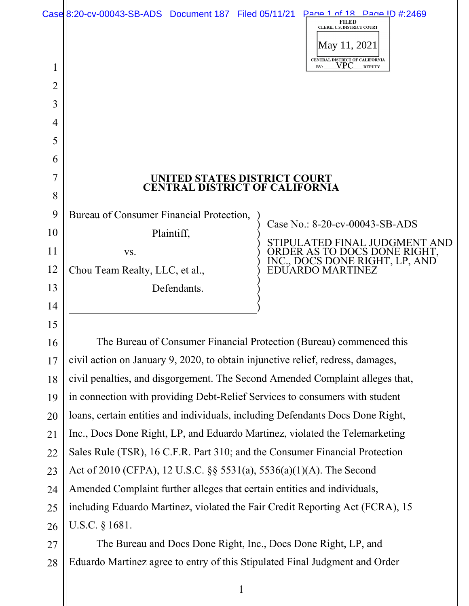|    | Case 8:20-cv-00043-SB-ADS Document 187 Filed 05/11/21 Page 1 of 18 Page ID #:2469 |  | <b>FILED</b><br>CLERK, U.S. DISTRICT COURT<br>May 11, 2021                         |  |
|----|-----------------------------------------------------------------------------------|--|------------------------------------------------------------------------------------|--|
| 1  |                                                                                   |  | CENTRAL DISTRICT OF CALIFORNIA<br>VPC<br>BY:<br><b>DEPUTY</b>                      |  |
| 2  |                                                                                   |  |                                                                                    |  |
| 3  |                                                                                   |  |                                                                                    |  |
| 4  |                                                                                   |  |                                                                                    |  |
| 5  |                                                                                   |  |                                                                                    |  |
| 6  |                                                                                   |  |                                                                                    |  |
| 7  | UNITED STATES DISTRICT COURT                                                      |  |                                                                                    |  |
| 8  | <b>CENTRAL DISTRICT OF CALIFORNIA</b>                                             |  |                                                                                    |  |
| 9  | Bureau of Consumer Financial Protection,                                          |  |                                                                                    |  |
| 10 | Plaintiff,                                                                        |  | Case No.: 8-20-cv-00043-SB-ADS                                                     |  |
| 11 | VS.                                                                               |  | STIPULATED FINAL JUDGMENT AND                                                      |  |
| 12 | Chou Team Realty, LLC, et al.,                                                    |  | ORDER AS TO DOCS DONE RIGHT,<br>INC., DOCS DONE RIGHT, LP, AND<br>EDUARDO MARTINEZ |  |
| 13 | Defendants.                                                                       |  |                                                                                    |  |
| 14 |                                                                                   |  |                                                                                    |  |
| 15 |                                                                                   |  |                                                                                    |  |
| 16 | The Bureau of Consumer Financial Protection (Bureau) commenced this               |  |                                                                                    |  |
| 17 | civil action on January 9, 2020, to obtain injunctive relief, redress, damages,   |  |                                                                                    |  |
| 18 | civil penalties, and disgorgement. The Second Amended Complaint alleges that,     |  |                                                                                    |  |
| 19 | in connection with providing Debt-Relief Services to consumers with student       |  |                                                                                    |  |
| 20 | loans, certain entities and individuals, including Defendants Docs Done Right,    |  |                                                                                    |  |
| 21 | Inc., Docs Done Right, LP, and Eduardo Martinez, violated the Telemarketing       |  |                                                                                    |  |
| 22 | Sales Rule (TSR), 16 C.F.R. Part 310; and the Consumer Financial Protection       |  |                                                                                    |  |
| 23 | Act of 2010 (CFPA), 12 U.S.C. §§ 5531(a), 5536(a)(1)(A). The Second               |  |                                                                                    |  |
| 24 | Amended Complaint further alleges that certain entities and individuals,          |  |                                                                                    |  |
| 25 | including Eduardo Martinez, violated the Fair Credit Reporting Act (FCRA), 15     |  |                                                                                    |  |
| 26 | U.S.C. $§$ 1681.                                                                  |  |                                                                                    |  |
| 27 | The Bureau and Docs Done Right, Inc., Docs Done Right, LP, and                    |  |                                                                                    |  |
| 28 | Eduardo Martinez agree to entry of this Stipulated Final Judgment and Order       |  |                                                                                    |  |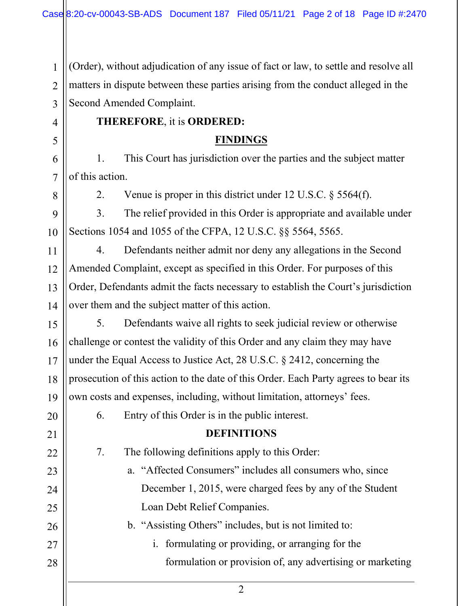1 2 3 4 5 6 7 8 9 10 11 12 13 14 15 16 17 18 19 20 21 22 23 24 25 26 27 28 (Order), without adjudication of any issue of fact or law, to settle and resolve all matters in dispute between these parties arising from the conduct alleged in the Second Amended Complaint. **THEREFORE**, it is **ORDERED: FINDINGS** 1. This Court has jurisdiction over the parties and the subject matter of this action. 2. Venue is proper in this district under 12 U.S.C. § 5564(f). 3. The relief provided in this Order is appropriate and available under Sections 1054 and 1055 of the CFPA, 12 U.S.C. §§ 5564, 5565. 4. Defendants neither admit nor deny any allegations in the Second Amended Complaint, except as specified in this Order. For purposes of this Order, Defendants admit the facts necessary to establish the Court's jurisdiction over them and the subject matter of this action. 5. Defendants waive all rights to seek judicial review or otherwise challenge or contest the validity of this Order and any claim they may have under the Equal Access to Justice Act, 28 U.S.C. § 2412, concerning the prosecution of this action to the date of this Order. Each Party agrees to bear its own costs and expenses, including, without limitation, attorneys' fees. 6. Entry of this Order is in the public interest. **DEFINITIONS** 7. The following definitions apply to this Order: a. "Affected Consumers" includes all consumers who, since December 1, 2015, were charged fees by any of the Student Loan Debt Relief Companies. b. "Assisting Others" includes, but is not limited to: i. formulating or providing, or arranging for the formulation or provision of, any advertising or marketing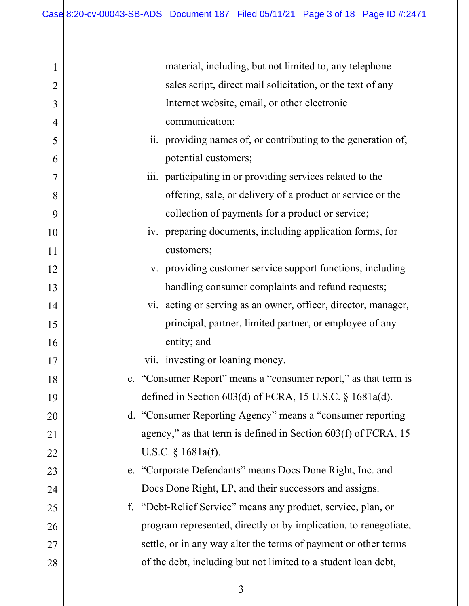| $\mathbf 1$    | material, including, but not limited to, any telephone           |
|----------------|------------------------------------------------------------------|
| $\overline{2}$ | sales script, direct mail solicitation, or the text of any       |
| 3              | Internet website, email, or other electronic                     |
| 4              | communication;                                                   |
| 5              | ii. providing names of, or contributing to the generation of,    |
| 6              | potential customers;                                             |
| 7              | iii. participating in or providing services related to the       |
| 8              | offering, sale, or delivery of a product or service or the       |
| 9              | collection of payments for a product or service;                 |
| 10             | iv. preparing documents, including application forms, for        |
| 11             | customers;                                                       |
| 12             | v. providing customer service support functions, including       |
| 13             | handling consumer complaints and refund requests;                |
| 14             | vi. acting or serving as an owner, officer, director, manager,   |
| 15             | principal, partner, limited partner, or employee of any          |
| 16             | entity; and                                                      |
| 17             | vii. investing or loaning money.                                 |
| 18             | c. "Consumer Report" means a "consumer report," as that term is  |
| 19             | defined in Section 603(d) of FCRA, 15 U.S.C. § 1681a(d).         |
| 20             | d. "Consumer Reporting Agency" means a "consumer reporting       |
| 21             | agency," as that term is defined in Section 603(f) of FCRA, 15   |
| 22             | U.S.C. $\S$ 1681a(f).                                            |
| 23             | e. "Corporate Defendants" means Docs Done Right, Inc. and        |
| 24             | Docs Done Right, LP, and their successors and assigns.           |
| 25             | f. "Debt-Relief Service" means any product, service, plan, or    |
| 26             | program represented, directly or by implication, to renegotiate, |
| 27             | settle, or in any way alter the terms of payment or other terms  |
| 28             | of the debt, including but not limited to a student loan debt,   |
|                |                                                                  |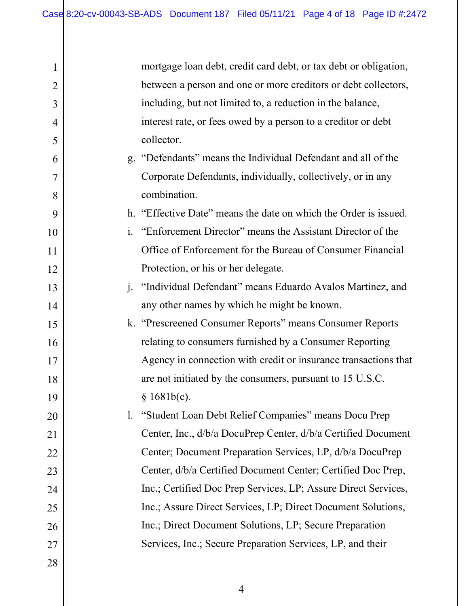| $\mathbf 1$    |                | mortgage loan debt, credit card debt, or tax debt or obligation, |
|----------------|----------------|------------------------------------------------------------------|
| $\overline{2}$ |                | between a person and one or more creditors or debt collectors,   |
| 3              |                | including, but not limited to, a reduction in the balance,       |
| 4              |                | interest rate, or fees owed by a person to a creditor or debt    |
| 5              |                | collector.                                                       |
| 6              |                | g. "Defendants" means the Individual Defendant and all of the    |
| 7              |                | Corporate Defendants, individually, collectively, or in any      |
| 8              |                | combination.                                                     |
| 9              |                | h. "Effective Date" means the date on which the Order is issued. |
| 10             |                | i. "Enforcement Director" means the Assistant Director of the    |
| 11             |                | Office of Enforcement for the Bureau of Consumer Financial       |
| 12             |                | Protection, or his or her delegate.                              |
| 13             |                | j. "Individual Defendant" means Eduardo Avalos Martinez, and     |
| 14             |                | any other names by which he might be known.                      |
| 15             |                | k. "Prescreened Consumer Reports" means Consumer Reports         |
| 16             |                | relating to consumers furnished by a Consumer Reporting          |
| 17             |                | Agency in connection with credit or insurance transactions that  |
| 18             |                | are not initiated by the consumers, pursuant to 15 U.S.C.        |
| 19             |                | § 1681b(c).                                                      |
| 20             | $\mathbf{l}$ . | "Student Loan Debt Relief Companies" means Docu Prep             |
| 21             |                | Center, Inc., d/b/a DocuPrep Center, d/b/a Certified Document    |
| 22             |                | Center; Document Preparation Services, LP, d/b/a DocuPrep        |
| 23             |                | Center, d/b/a Certified Document Center; Certified Doc Prep,     |
| 24             |                | Inc.; Certified Doc Prep Services, LP; Assure Direct Services,   |
| 25             |                | Inc.; Assure Direct Services, LP; Direct Document Solutions,     |
| 26             |                | Inc.; Direct Document Solutions, LP; Secure Preparation          |
| 27             |                | Services, Inc.; Secure Preparation Services, LP, and their       |
| 28             |                |                                                                  |
|                |                |                                                                  |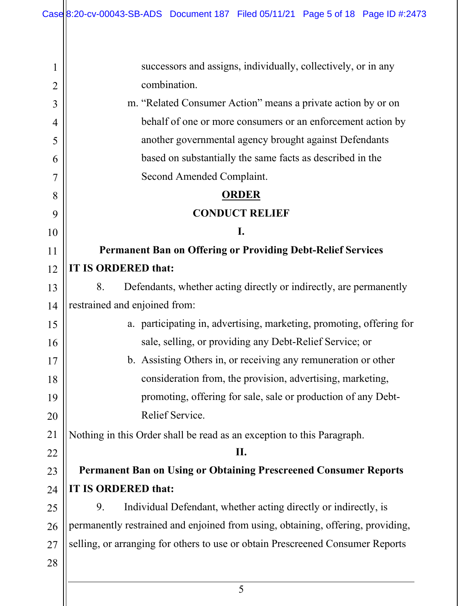| $\mathbf 1$    | successors and assigns, individually, collectively, or in any                   |
|----------------|---------------------------------------------------------------------------------|
| $\overline{2}$ | combination.                                                                    |
| 3              | m. "Related Consumer Action" means a private action by or on                    |
| 4              | behalf of one or more consumers or an enforcement action by                     |
| 5              | another governmental agency brought against Defendants                          |
| 6              | based on substantially the same facts as described in the                       |
| 7              | Second Amended Complaint.                                                       |
| 8              | <b>ORDER</b>                                                                    |
| 9              | <b>CONDUCT RELIEF</b>                                                           |
| 10             | I.                                                                              |
| 11             | <b>Permanent Ban on Offering or Providing Debt-Relief Services</b>              |
| 12             | IT IS ORDERED that:                                                             |
| 13             | Defendants, whether acting directly or indirectly, are permanently<br>8.        |
| 14             | restrained and enjoined from:                                                   |
| 15             | a. participating in, advertising, marketing, promoting, offering for            |
| 16             | sale, selling, or providing any Debt-Relief Service; or                         |
| 17             | b. Assisting Others in, or receiving any remuneration or other                  |
| 18             | consideration from, the provision, advertising, marketing,                      |
| 19             | promoting, offering for sale, sale or production of any Debt-                   |
| 20             | Relief Service.                                                                 |
| 21             | Nothing in this Order shall be read as an exception to this Paragraph.          |
| 22             | П.                                                                              |
| 23             | <b>Permanent Ban on Using or Obtaining Prescreened Consumer Reports</b>         |
| 24             | IT IS ORDERED that:                                                             |
| 25             | Individual Defendant, whether acting directly or indirectly, is<br>9.           |
| 26             | permanently restrained and enjoined from using, obtaining, offering, providing, |
| 27             | selling, or arranging for others to use or obtain Prescreened Consumer Reports  |
| 28             |                                                                                 |
|                |                                                                                 |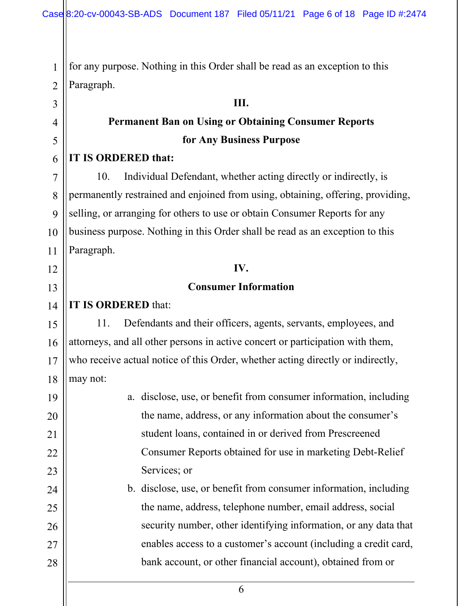2 for any purpose. Nothing in this Order shall be read as an exception to this Paragraph.

#### **III.**

# **Permanent Ban on Using or Obtaining Consumer Reports for Any Business Purpose**

#### **IT IS ORDERED that:**

1

3

4

5

6

7

8

9

10

11

12

13

14

19

20

21

22

23

24

25

26

27

28

10. Individual Defendant, whether acting directly or indirectly, is permanently restrained and enjoined from using, obtaining, offering, providing, selling, or arranging for others to use or obtain Consumer Reports for any business purpose. Nothing in this Order shall be read as an exception to this Paragraph.

#### **IV.**

#### **Consumer Information**

# **IT IS ORDERED** that:

15 16 17 18 11. Defendants and their officers, agents, servants, employees, and attorneys, and all other persons in active concert or participation with them, who receive actual notice of this Order, whether acting directly or indirectly, may not:

a. disclose, use, or benefit from consumer information, including the name, address, or any information about the consumer's student loans, contained in or derived from Prescreened Consumer Reports obtained for use in marketing Debt-Relief Services; or

b. disclose, use, or benefit from consumer information, including the name, address, telephone number, email address, social security number, other identifying information, or any data that enables access to a customer's account (including a credit card, bank account, or other financial account), obtained from or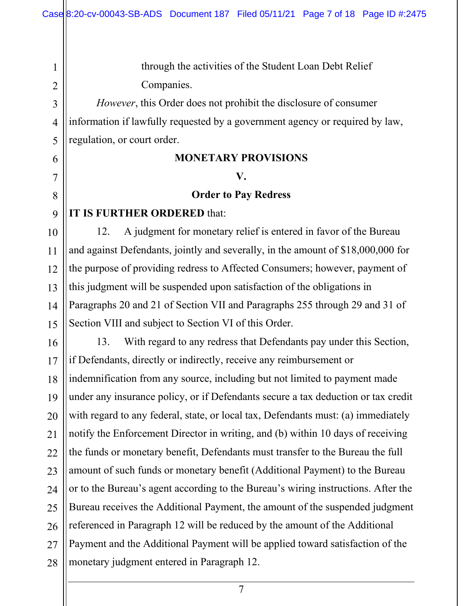through the activities of the Student Loan Debt Relief Companies.

*However*, this Order does not prohibit the disclosure of consumer information if lawfully requested by a government agency or required by law, regulation, or court order.

#### **MONETARY PROVISIONS**

#### **V.**

#### **Order to Pay Redress**

#### **IT IS FURTHER ORDERED** that:

1

2

3

4

5

6

7

8

9

10

11

12

13

14

15

12. A judgment for monetary relief is entered in favor of the Bureau and against Defendants, jointly and severally, in the amount of \$18,000,000 for the purpose of providing redress to Affected Consumers; however, payment of this judgment will be suspended upon satisfaction of the obligations in Paragraphs 20 and 21 of Section VII and Paragraphs 255 through 29 and 31 of Section VIII and subject to Section VI of this Order.

16 17 18 19 20 21 22 23 24 25 26 27 28 13. With regard to any redress that Defendants pay under this Section, if Defendants, directly or indirectly, receive any reimbursement or indemnification from any source, including but not limited to payment made under any insurance policy, or if Defendants secure a tax deduction or tax credit with regard to any federal, state, or local tax, Defendants must: (a) immediately notify the Enforcement Director in writing, and (b) within 10 days of receiving the funds or monetary benefit, Defendants must transfer to the Bureau the full amount of such funds or monetary benefit (Additional Payment) to the Bureau or to the Bureau's agent according to the Bureau's wiring instructions. After the Bureau receives the Additional Payment, the amount of the suspended judgment referenced in Paragraph 12 will be reduced by the amount of the Additional Payment and the Additional Payment will be applied toward satisfaction of the monetary judgment entered in Paragraph 12.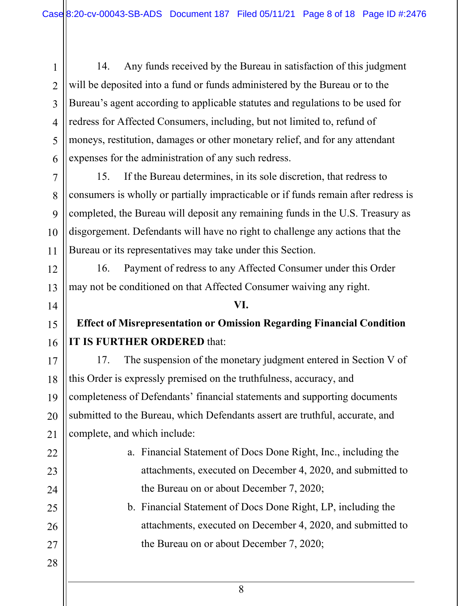14. Any funds received by the Bureau in satisfaction of this judgment will be deposited into a fund or funds administered by the Bureau or to the Bureau's agent according to applicable statutes and regulations to be used for redress for Affected Consumers, including, but not limited to, refund of moneys, restitution, damages or other monetary relief, and for any attendant expenses for the administration of any such redress.

15. If the Bureau determines, in its sole discretion, that redress to consumers is wholly or partially impracticable or if funds remain after redress is completed, the Bureau will deposit any remaining funds in the U.S. Treasury as disgorgement. Defendants will have no right to challenge any actions that the Bureau or its representatives may take under this Section.

16. Payment of redress to any Affected Consumer under this Order may not be conditioned on that Affected Consumer waiving any right.

# **Effect of Misrepresentation or Omission Regarding Financial Condition IT IS FURTHER ORDERED** that:

**VI.**

17 18 19 20 21 17. The suspension of the monetary judgment entered in Section V of this Order is expressly premised on the truthfulness, accuracy, and completeness of Defendants' financial statements and supporting documents submitted to the Bureau, which Defendants assert are truthful, accurate, and complete, and which include:

- a. Financial Statement of Docs Done Right, Inc., including the attachments, executed on December 4, 2020, and submitted to the Bureau on or about December 7, 2020;
	- b. Financial Statement of Docs Done Right, LP, including the attachments, executed on December 4, 2020, and submitted to the Bureau on or about December 7, 2020;

28

22

23

1

2

3

4

5

6

7

8

9

10

11

12

13

14

15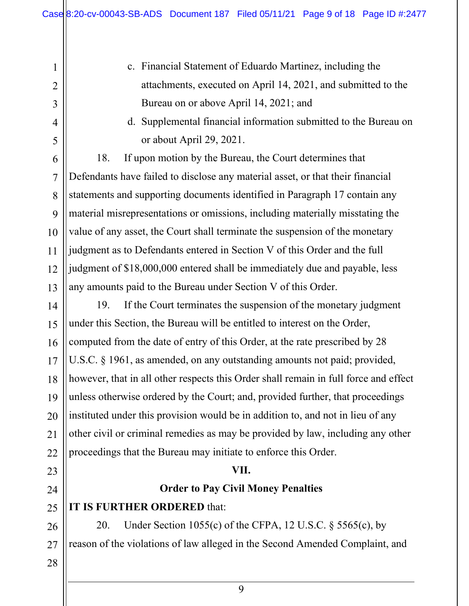- c. Financial Statement of Eduardo Martinez, including the attachments, executed on April 14, 2021, and submitted to the Bureau on or above April 14, 2021; and
- d. Supplemental financial information submitted to the Bureau on or about April 29, 2021.

18. If upon motion by the Bureau, the Court determines that Defendants have failed to disclose any material asset, or that their financial statements and supporting documents identified in Paragraph 17 contain any material misrepresentations or omissions, including materially misstating the value of any asset, the Court shall terminate the suspension of the monetary judgment as to Defendants entered in Section V of this Order and the full judgment of \$18,000,000 entered shall be immediately due and payable, less any amounts paid to the Bureau under Section V of this Order.

14 15 16 17 18 19 20 21 22 19. If the Court terminates the suspension of the monetary judgment under this Section, the Bureau will be entitled to interest on the Order, computed from the date of entry of this Order, at the rate prescribed by 28 U.S.C. § 1961, as amended, on any outstanding amounts not paid; provided, however, that in all other respects this Order shall remain in full force and effect unless otherwise ordered by the Court; and, provided further, that proceedings instituted under this provision would be in addition to, and not in lieu of any other civil or criminal remedies as may be provided by law, including any other proceedings that the Bureau may initiate to enforce this Order.

#### **VII.**

# **Order to Pay Civil Money Penalties**

#### 25 **IT IS FURTHER ORDERED** that:

26 27 20. Under Section 1055(c) of the CFPA, 12 U.S.C. § 5565(c), by reason of the violations of law alleged in the Second Amended Complaint, and

28

23

24

1

2

3

4

5

6

7

8

9

10

11

12

13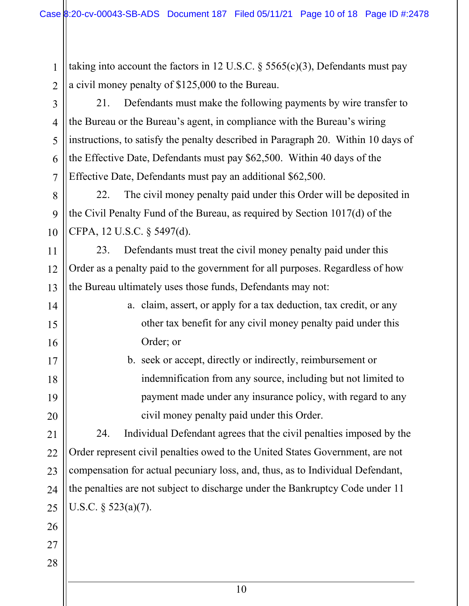taking into account the factors in 12 U.S.C.  $\S$  5565(c)(3), Defendants must pay a civil money penalty of \$125,000 to the Bureau.

2 3

1

4

5

6

7

8

9

10

11

12

13

14

15

16

17

18

19

20

21. Defendants must make the following payments by wire transfer to the Bureau or the Bureau's agent, in compliance with the Bureau's wiring instructions, to satisfy the penalty described in Paragraph 20. Within 10 days of the Effective Date, Defendants must pay \$62,500. Within 40 days of the Effective Date, Defendants must pay an additional \$62,500.

22. The civil money penalty paid under this Order will be deposited in the Civil Penalty Fund of the Bureau, as required by Section 1017(d) of the CFPA, 12 U.S.C. § 5497(d).

23. Defendants must treat the civil money penalty paid under this Order as a penalty paid to the government for all purposes. Regardless of how the Bureau ultimately uses those funds, Defendants may not:

- a. claim, assert, or apply for a tax deduction, tax credit, or any other tax benefit for any civil money penalty paid under this Order; or
- b. seek or accept, directly or indirectly, reimbursement or indemnification from any source, including but not limited to payment made under any insurance policy, with regard to any civil money penalty paid under this Order.

24. Individual Defendant agrees that the civil penalties imposed by the Order represent civil penalties owed to the United States Government, are not compensation for actual pecuniary loss, and, thus, as to Individual Defendant, the penalties are not subject to discharge under the Bankruptcy Code under 11 U.S.C. § 523(a)(7).

- 21 22 23 24 25 26 27
- 28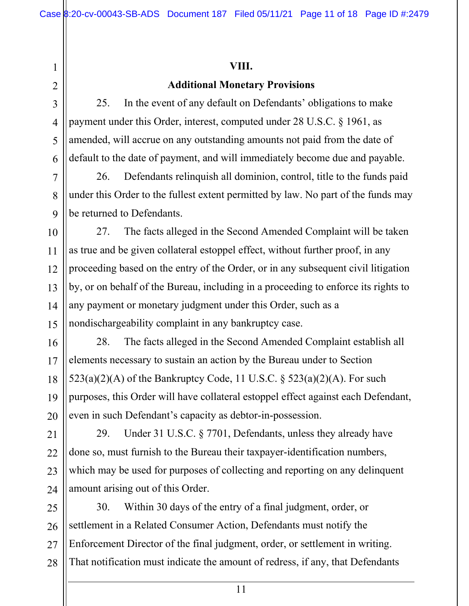#### **VIII.**

### **Additional Monetary Provisions**

25. In the event of any default on Defendants' obligations to make payment under this Order, interest, computed under 28 U.S.C. § 1961, as amended, will accrue on any outstanding amounts not paid from the date of default to the date of payment, and will immediately become due and payable.

26. Defendants relinquish all dominion, control, title to the funds paid under this Order to the fullest extent permitted by law. No part of the funds may be returned to Defendants.

27. The facts alleged in the Second Amended Complaint will be taken as true and be given collateral estoppel effect, without further proof, in any proceeding based on the entry of the Order, or in any subsequent civil litigation by, or on behalf of the Bureau, including in a proceeding to enforce its rights to any payment or monetary judgment under this Order, such as a nondischargeability complaint in any bankruptcy case.

28. The facts alleged in the Second Amended Complaint establish all elements necessary to sustain an action by the Bureau under to Section  $523(a)(2)(A)$  of the Bankruptcy Code, 11 U.S.C. §  $523(a)(2)(A)$ . For such purposes, this Order will have collateral estoppel effect against each Defendant, even in such Defendant's capacity as debtor-in-possession.

29. Under 31 U.S.C. § 7701, Defendants, unless they already have done so, must furnish to the Bureau their taxpayer-identification numbers, which may be used for purposes of collecting and reporting on any delinquent amount arising out of this Order.

25 26 27 28 30. Within 30 days of the entry of a final judgment, order, or settlement in a Related Consumer Action, Defendants must notify the Enforcement Director of the final judgment, order, or settlement in writing. That notification must indicate the amount of redress, if any, that Defendants

1

2

3

4

5

6

7

8

9

10

11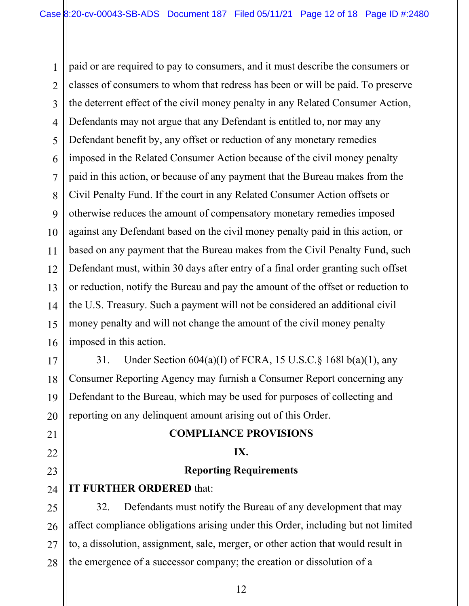1 2 3 4 5 6 7 8 9 10 11 12 13 14 15 16 paid or are required to pay to consumers, and it must describe the consumers or classes of consumers to whom that redress has been or will be paid. To preserve the deterrent effect of the civil money penalty in any Related Consumer Action, Defendants may not argue that any Defendant is entitled to, nor may any Defendant benefit by, any offset or reduction of any monetary remedies imposed in the Related Consumer Action because of the civil money penalty paid in this action, or because of any payment that the Bureau makes from the Civil Penalty Fund. If the court in any Related Consumer Action offsets or otherwise reduces the amount of compensatory monetary remedies imposed against any Defendant based on the civil money penalty paid in this action, or based on any payment that the Bureau makes from the Civil Penalty Fund, such Defendant must, within 30 days after entry of a final order granting such offset or reduction, notify the Bureau and pay the amount of the offset or reduction to the U.S. Treasury. Such a payment will not be considered an additional civil money penalty and will not change the amount of the civil money penalty imposed in this action.

17 18 19 20 31. Under Section 604(a)(I) of FCRA, 15 U.S.C.§ 168l b(a)(1), any Consumer Reporting Agency may furnish a Consumer Report concerning any Defendant to the Bureau, which may be used for purposes of collecting and reporting on any delinquent amount arising out of this Order.

#### **COMPLIANCE PROVISIONS**

#### **IX.**

#### **Reporting Requirements**

#### 24 **IT FURTHER ORDERED** that:

21

22

23

25 26 27 28 32. Defendants must notify the Bureau of any development that may affect compliance obligations arising under this Order, including but not limited to, a dissolution, assignment, sale, merger, or other action that would result in the emergence of a successor company; the creation or dissolution of a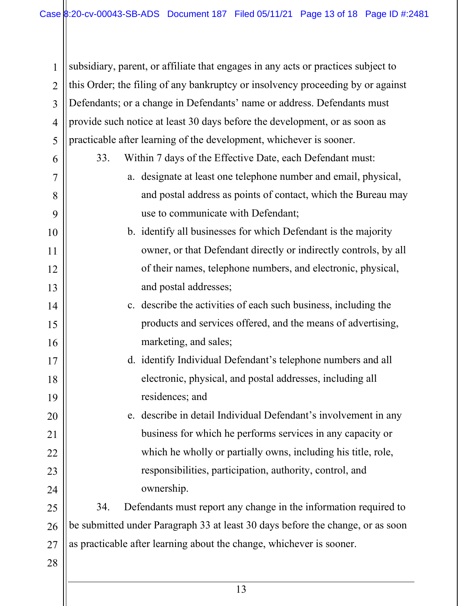1 2 3 4 5 subsidiary, parent, or affiliate that engages in any acts or practices subject to this Order; the filing of any bankruptcy or insolvency proceeding by or against Defendants; or a change in Defendants' name or address. Defendants must provide such notice at least 30 days before the development, or as soon as practicable after learning of the development, whichever is sooner.

- 6 7 8 9 10 11 12 13 14 15 16 33. Within 7 days of the Effective Date, each Defendant must: a. designate at least one telephone number and email, physical, and postal address as points of contact, which the Bureau may use to communicate with Defendant; b. identify all businesses for which Defendant is the majority owner, or that Defendant directly or indirectly controls, by all of their names, telephone numbers, and electronic, physical, and postal addresses; c. describe the activities of each such business, including the products and services offered, and the means of advertising, marketing, and sales;
	- d. identify Individual Defendant's telephone numbers and all electronic, physical, and postal addresses, including all residences; and

e. describe in detail Individual Defendant's involvement in any business for which he performs services in any capacity or which he wholly or partially owns, including his title, role, responsibilities, participation, authority, control, and ownership.

25 26 27 34. Defendants must report any change in the information required to be submitted under Paragraph 33 at least 30 days before the change, or as soon as practicable after learning about the change, whichever is sooner.

28

17

18

19

20

21

22

23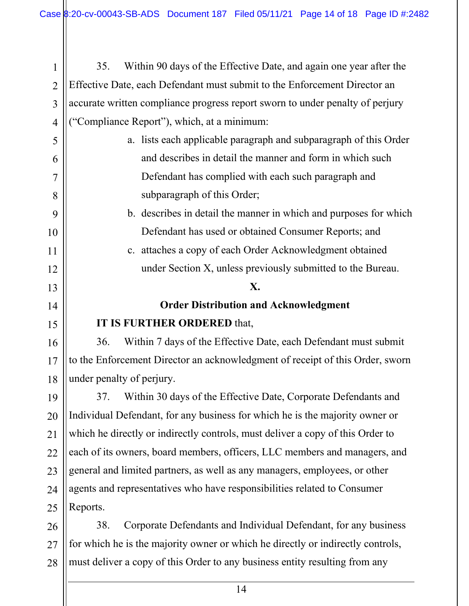1 2 3 4 35. Within 90 days of the Effective Date, and again one year after the Effective Date, each Defendant must submit to the Enforcement Director an accurate written compliance progress report sworn to under penalty of perjury ("Compliance Report"), which, at a minimum:

5

6

7

8

9

10

11

12

13

14

15

16

17

18

21

- a. lists each applicable paragraph and subparagraph of this Order and describes in detail the manner and form in which such Defendant has complied with each such paragraph and subparagraph of this Order;
	- b. describes in detail the manner in which and purposes for which Defendant has used or obtained Consumer Reports; and
	- c. attaches a copy of each Order Acknowledgment obtained under Section X, unless previously submitted to the Bureau.

#### **X.**

# **Order Distribution and Acknowledgment IT IS FURTHER ORDERED** that,

36. Within 7 days of the Effective Date, each Defendant must submit to the Enforcement Director an acknowledgment of receipt of this Order, sworn under penalty of perjury.

19 20 22 23 24 25 37. Within 30 days of the Effective Date, Corporate Defendants and Individual Defendant, for any business for which he is the majority owner or which he directly or indirectly controls, must deliver a copy of this Order to each of its owners, board members, officers, LLC members and managers, and general and limited partners, as well as any managers, employees, or other agents and representatives who have responsibilities related to Consumer Reports.

26 27 28 38. Corporate Defendants and Individual Defendant, for any business for which he is the majority owner or which he directly or indirectly controls, must deliver a copy of this Order to any business entity resulting from any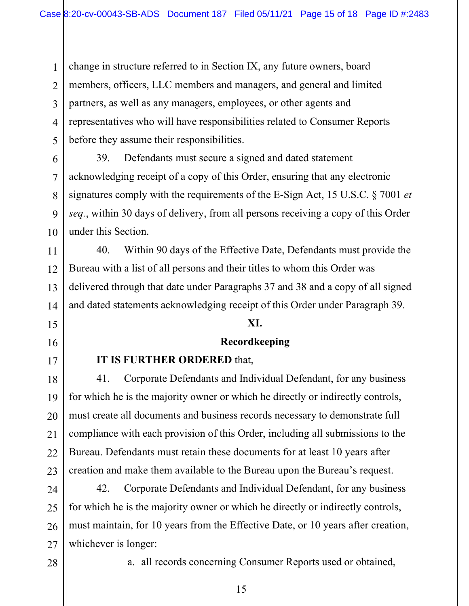1 2 3 4 5 change in structure referred to in Section IX, any future owners, board members, officers, LLC members and managers, and general and limited partners, as well as any managers, employees, or other agents and representatives who will have responsibilities related to Consumer Reports before they assume their responsibilities.

39. Defendants must secure a signed and dated statement acknowledging receipt of a copy of this Order, ensuring that any electronic signatures comply with the requirements of the E-Sign Act, 15 U.S.C. § 7001 *et seq.*, within 30 days of delivery, from all persons receiving a copy of this Order under this Section.

14 40. Within 90 days of the Effective Date, Defendants must provide the Bureau with a list of all persons and their titles to whom this Order was delivered through that date under Paragraphs 37 and 38 and a copy of all signed and dated statements acknowledging receipt of this Order under Paragraph 39.

#### **XI.**

#### **Recordkeeping**

#### **IT IS FURTHER ORDERED** that,

41. Corporate Defendants and Individual Defendant, for any business for which he is the majority owner or which he directly or indirectly controls, must create all documents and business records necessary to demonstrate full compliance with each provision of this Order, including all submissions to the Bureau. Defendants must retain these documents for at least 10 years after creation and make them available to the Bureau upon the Bureau's request.

24 25 26 27 42. Corporate Defendants and Individual Defendant, for any business for which he is the majority owner or which he directly or indirectly controls, must maintain, for 10 years from the Effective Date, or 10 years after creation, whichever is longer:

28

6

7

8

9

10

11

12

13

15

16

17

18

19

20

21

22

23

a. all records concerning Consumer Reports used or obtained,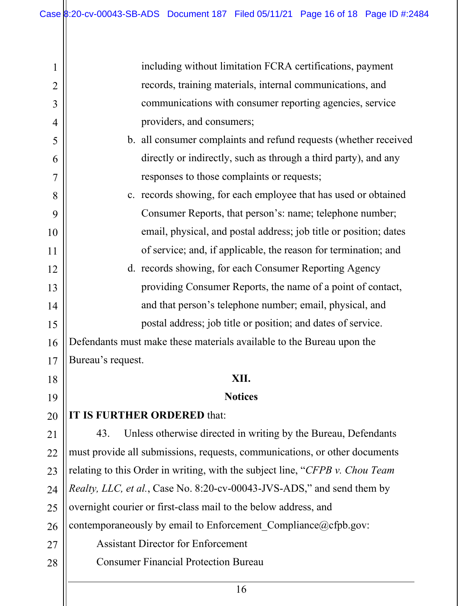| $\mathbf 1$    | including without limitation FCRA certifications, payment                    |  |
|----------------|------------------------------------------------------------------------------|--|
| $\overline{2}$ | records, training materials, internal communications, and                    |  |
| 3              | communications with consumer reporting agencies, service                     |  |
| 4              | providers, and consumers;                                                    |  |
| 5              | b. all consumer complaints and refund requests (whether received             |  |
| 6              | directly or indirectly, such as through a third party), and any              |  |
| $\overline{7}$ | responses to those complaints or requests;                                   |  |
| 8              | c. records showing, for each employee that has used or obtained              |  |
| 9              | Consumer Reports, that person's: name; telephone number;                     |  |
| 10             | email, physical, and postal address; job title or position; dates            |  |
| 11             | of service; and, if applicable, the reason for termination; and              |  |
| 12             | d. records showing, for each Consumer Reporting Agency                       |  |
| 13             | providing Consumer Reports, the name of a point of contact,                  |  |
| 14             | and that person's telephone number; email, physical, and                     |  |
| 15             | postal address; job title or position; and dates of service.                 |  |
| 16             | Defendants must make these materials available to the Bureau upon the        |  |
| 17             | Bureau's request.                                                            |  |
| 18             | XII.                                                                         |  |
| 19             | <b>Notices</b>                                                               |  |
| 20             | IT IS FURTHER ORDERED that:                                                  |  |
| 21             | Unless otherwise directed in writing by the Bureau, Defendants<br>43.        |  |
| 22             | must provide all submissions, requests, communications, or other documents   |  |
| 23             | relating to this Order in writing, with the subject line, "CFPB v. Chou Team |  |
| 24             | Realty, LLC, et al., Case No. 8:20-cv-00043-JVS-ADS," and send them by       |  |
| 25             | overnight courier or first-class mail to the below address, and              |  |
| 26             | contemporaneously by email to Enforcement Compliance@cfpb.gov:               |  |
| 27             | <b>Assistant Director for Enforcement</b>                                    |  |
| 28             | <b>Consumer Financial Protection Bureau</b>                                  |  |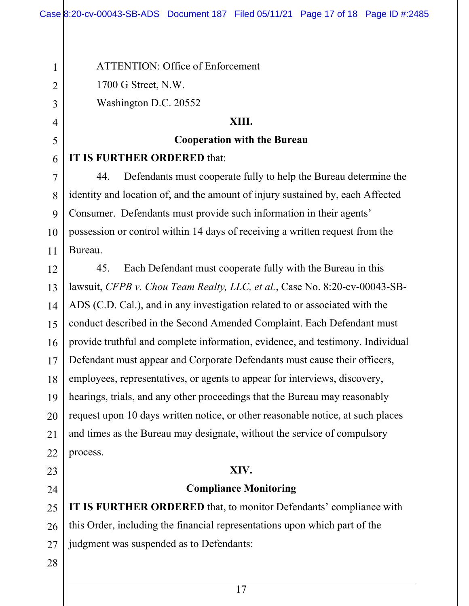ATTENTION: Office of Enforcement

1700 G Street, N.W.

1

2

3

4

5

6

7

8

9

10

11

Washington D.C. 20552

#### **XIII.**

### **Cooperation with the Bureau**

# **IT IS FURTHER ORDERED** that:

44. Defendants must cooperate fully to help the Bureau determine the identity and location of, and the amount of injury sustained by, each Affected Consumer. Defendants must provide such information in their agents' possession or control within 14 days of receiving a written request from the Bureau.

12 13 14 15 16 17 18 19 20 21 22 45. Each Defendant must cooperate fully with the Bureau in this lawsuit, *CFPB v. Chou Team Realty, LLC, et al.*, Case No. 8:20-cv-00043-SB-ADS (C.D. Cal.), and in any investigation related to or associated with the conduct described in the Second Amended Complaint. Each Defendant must provide truthful and complete information, evidence, and testimony. Individual Defendant must appear and Corporate Defendants must cause their officers, employees, representatives, or agents to appear for interviews, discovery, hearings, trials, and any other proceedings that the Bureau may reasonably request upon 10 days written notice, or other reasonable notice, at such places and times as the Bureau may designate, without the service of compulsory process.

# **XIV.**

# **Compliance Monitoring**

25 26 27 **IT IS FURTHER ORDERED** that, to monitor Defendants' compliance with this Order, including the financial representations upon which part of the judgment was suspended as to Defendants:

28

23